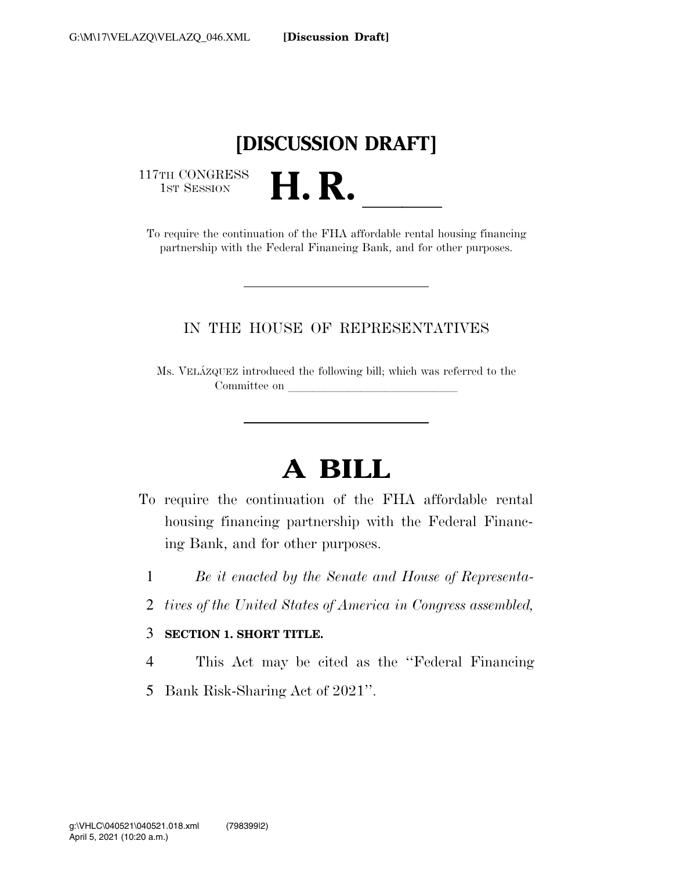## **[DISCUSSION DRAFT]**

117TH CONGRESS<br>1st Session

17TH CONGRESS<br>1st SESSION<br>To require the continuation of the FHA affordable rental housing financing partnership with the Federal Financing Bank, and for other purposes.

#### IN THE HOUSE OF REPRESENTATIVES

Ms. VELA´ZQUEZ introduced the following bill; which was referred to the Committee on

# **A BILL**

- To require the continuation of the FHA affordable rental housing financing partnership with the Federal Financing Bank, and for other purposes.
	- 1 *Be it enacted by the Senate and House of Representa-*
	- 2 *tives of the United States of America in Congress assembled,*

#### 3 **SECTION 1. SHORT TITLE.**

- 4 This Act may be cited as the ''Federal Financing
- 5 Bank Risk-Sharing Act of 2021''.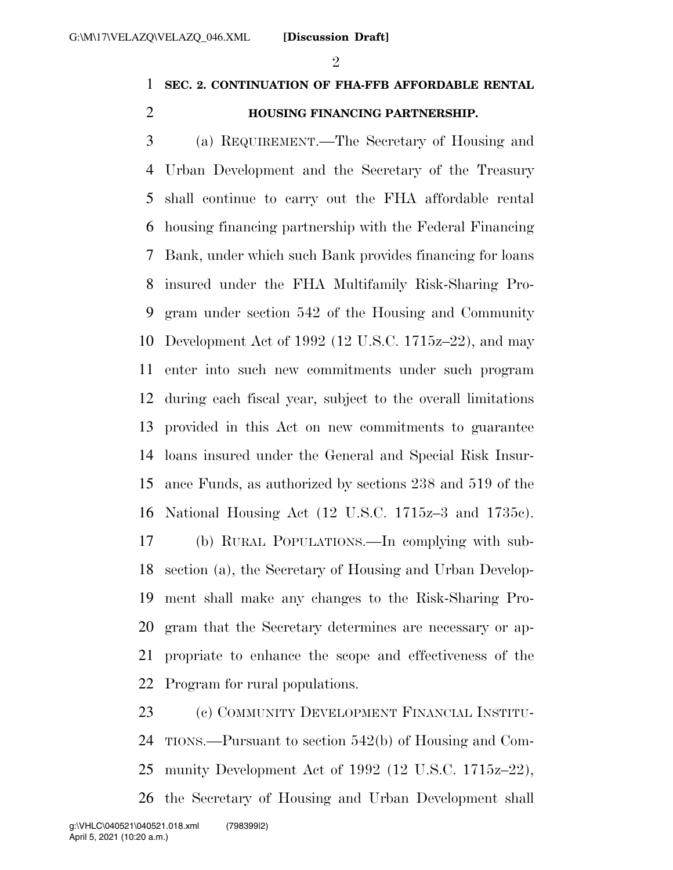$\mathfrak{D}$ 

### **SEC. 2. CONTINUATION OF FHA-FFB AFFORDABLE RENTAL**

#### **HOUSING FINANCING PARTNERSHIP.**

 (a) REQUIREMENT.—The Secretary of Housing and Urban Development and the Secretary of the Treasury shall continue to carry out the FHA affordable rental housing financing partnership with the Federal Financing Bank, under which such Bank provides financing for loans insured under the FHA Multifamily Risk-Sharing Pro- gram under section 542 of the Housing and Community Development Act of 1992 (12 U.S.C. 1715z–22), and may enter into such new commitments under such program during each fiscal year, subject to the overall limitations provided in this Act on new commitments to guarantee loans insured under the General and Special Risk Insur- ance Funds, as authorized by sections 238 and 519 of the National Housing Act (12 U.S.C. 1715z–3 and 1735c). (b) RURAL POPULATIONS.—In complying with sub- section (a), the Secretary of Housing and Urban Develop- ment shall make any changes to the Risk-Sharing Pro- gram that the Secretary determines are necessary or ap-propriate to enhance the scope and effectiveness of the

Program for rural populations.

 (c) COMMUNITY DEVELOPMENT FINANCIAL INSTITU- TIONS.—Pursuant to section 542(b) of Housing and Com- munity Development Act of 1992 (12 U.S.C. 1715z–22), the Secretary of Housing and Urban Development shall